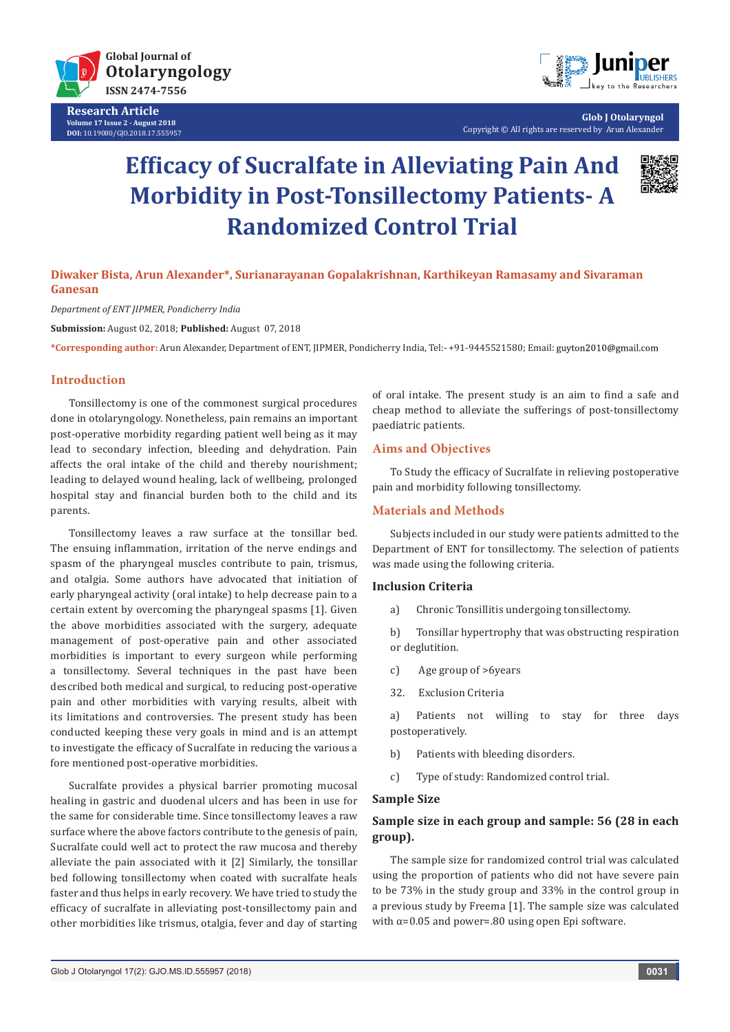

**Research Article Volume 17 Issue 2 - August 2018 DOI:** [10.19080/GJO.2018.17.555957](http://http://dx.doi.org/10.19080/GJO.2018.17.555957)



**Glob J Otolaryngol** Copyright © All rights are reserved by Arun Alexander

# **Efficacy of Sucralfate in Alleviating Pain And Morbidity in Post-Tonsillectomy Patients- A Randomized Control Trial**



**Diwaker Bista, Arun Alexander\*, Surianarayanan Gopalakrishnan, Karthikeyan Ramasamy and Sivaraman Ganesan**

*Department of ENT JIPMER, Pondicherry India*

**Submission:** August 02, 2018; **Published:** August 07, 2018

**\*Corresponding author:** Arun Alexander, Department of ENT, JIPMER, Pondicherry India, Tel:- +91-9445521580; Email:

# **Introduction**

Tonsillectomy is one of the commonest surgical procedures done in otolaryngology. Nonetheless, pain remains an important post-operative morbidity regarding patient well being as it may lead to secondary infection, bleeding and dehydration. Pain affects the oral intake of the child and thereby nourishment; leading to delayed wound healing, lack of wellbeing, prolonged hospital stay and financial burden both to the child and its parents.

Tonsillectomy leaves a raw surface at the tonsillar bed. The ensuing inflammation, irritation of the nerve endings and spasm of the pharyngeal muscles contribute to pain, trismus, and otalgia. Some authors have advocated that initiation of early pharyngeal activity (oral intake) to help decrease pain to a certain extent by overcoming the pharyngeal spasms [1]. Given the above morbidities associated with the surgery, adequate management of post-operative pain and other associated morbidities is important to every surgeon while performing a tonsillectomy. Several techniques in the past have been described both medical and surgical, to reducing post-operative pain and other morbidities with varying results, albeit with its limitations and controversies. The present study has been conducted keeping these very goals in mind and is an attempt to investigate the efficacy of Sucralfate in reducing the various a fore mentioned post-operative morbidities.

Sucralfate provides a physical barrier promoting mucosal healing in gastric and duodenal ulcers and has been in use for the same for considerable time. Since tonsillectomy leaves a raw surface where the above factors contribute to the genesis of pain, Sucralfate could well act to protect the raw mucosa and thereby alleviate the pain associated with it [2] Similarly, the tonsillar bed following tonsillectomy when coated with sucralfate heals faster and thus helps in early recovery. We have tried to study the efficacy of sucralfate in alleviating post-tonsillectomy pain and other morbidities like trismus, otalgia, fever and day of starting of oral intake. The present study is an aim to find a safe and cheap method to alleviate the sufferings of post-tonsillectomy paediatric patients.

# **Aims and Objectives**

To Study the efficacy of Sucralfate in relieving postoperative pain and morbidity following tonsillectomy.

# **Materials and Methods**

Subjects included in our study were patients admitted to the Department of ENT for tonsillectomy. The selection of patients was made using the following criteria.

## **Inclusion Criteria**

a) Chronic Tonsillitis undergoing tonsillectomy.

b) Tonsillar hypertrophy that was obstructing respiration or deglutition.

- c) Age group of >6years
- 32. Exclusion Criteria

a) Patients not willing to stay for three days postoperatively.

- b) Patients with bleeding disorders.
- c) Type of study: Randomized control trial.

## **Sample Size**

# **Sample size in each group and sample: 56 (28 in each group).**

The sample size for randomized control trial was calculated using the proportion of patients who did not have severe pain to be 73% in the study group and 33% in the control group in a previous study by Freema [1]. The sample size was calculated with  $\alpha$ =0.05 and power=.80 using open Epi software.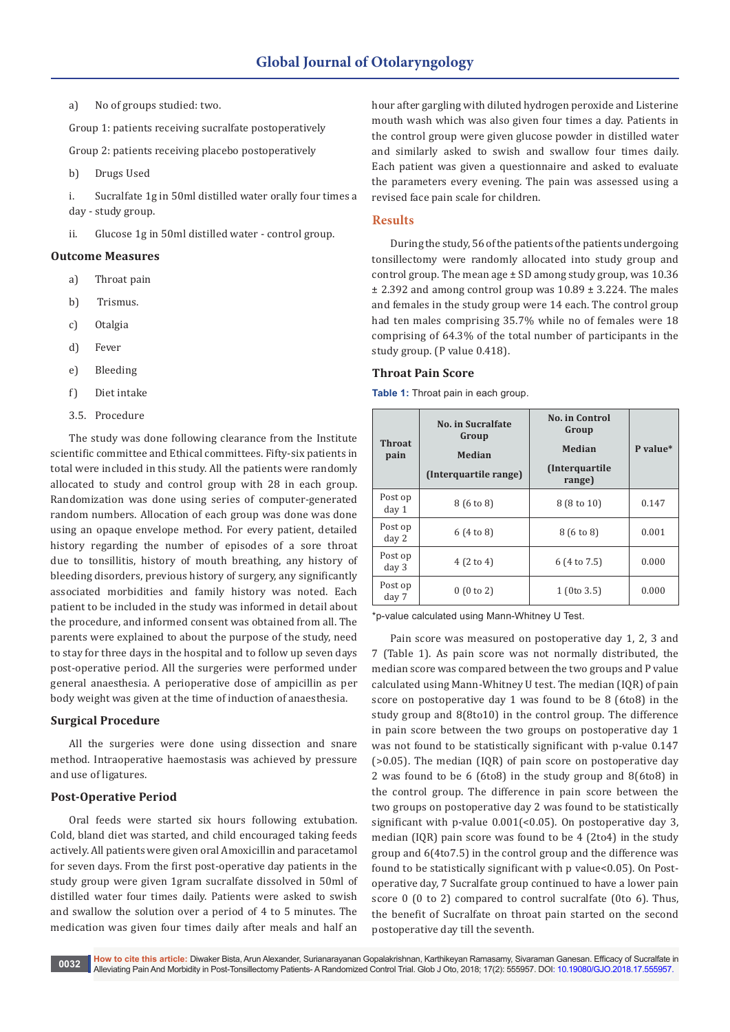a) No of groups studied: two.

Group 1: patients receiving sucralfate postoperatively

Group 2: patients receiving placebo postoperatively

b) Drugs Used

i. Sucralfate 1g in 50ml distilled water orally four times a day - study group.

ii. Glucose 1g in 50ml distilled water - control group.

#### **Outcome Measures**

- a) Throat pain
- b) Trismus.
- c) Otalgia
- d) Fever
- e) Bleeding
- f) Diet intake
- 3.5. Procedure

The study was done following clearance from the Institute scientific committee and Ethical committees. Fifty-six patients in total were included in this study. All the patients were randomly allocated to study and control group with 28 in each group. Randomization was done using series of computer-generated random numbers. Allocation of each group was done was done using an opaque envelope method. For every patient, detailed history regarding the number of episodes of a sore throat due to tonsillitis, history of mouth breathing, any history of bleeding disorders, previous history of surgery, any significantly associated morbidities and family history was noted. Each patient to be included in the study was informed in detail about the procedure, and informed consent was obtained from all. The parents were explained to about the purpose of the study, need to stay for three days in the hospital and to follow up seven days post-operative period. All the surgeries were performed under general anaesthesia. A perioperative dose of ampicillin as per body weight was given at the time of induction of anaesthesia.

#### **Surgical Procedure**

All the surgeries were done using dissection and snare method. Intraoperative haemostasis was achieved by pressure and use of ligatures.

### **Post-Operative Period**

Oral feeds were started six hours following extubation. Cold, bland diet was started, and child encouraged taking feeds actively. All patients were given oral Amoxicillin and paracetamol for seven days. From the first post-operative day patients in the study group were given 1gram sucralfate dissolved in 50ml of distilled water four times daily. Patients were asked to swish and swallow the solution over a period of 4 to 5 minutes. The medication was given four times daily after meals and half an

hour after gargling with diluted hydrogen peroxide and Listerine mouth wash which was also given four times a day. Patients in the control group were given glucose powder in distilled water and similarly asked to swish and swallow four times daily. Each patient was given a questionnaire and asked to evaluate the parameters every evening. The pain was assessed using a revised face pain scale for children.

# **Results**

During the study, 56 of the patients of the patients undergoing tonsillectomy were randomly allocated into study group and control group. The mean age  $\pm$  SD among study group, was 10.36 ± 2.392 and among control group was 10.89 ± 3.224. The males and females in the study group were 14 each. The control group had ten males comprising 35.7% while no of females were 18 comprising of 64.3% of the total number of participants in the study group. (P value 0.418).

## **Throat Pain Score**

**Table 1:** Throat pain in each group.

| <b>Throat</b><br>pain       | No. in Sucralfate<br>Group<br>Median<br>(Interguartile range) | <b>No. in Control</b><br>Group<br>Median<br>(Interquartile)<br>range) | $P$ value* |
|-----------------------------|---------------------------------------------------------------|-----------------------------------------------------------------------|------------|
| Post op<br>day 1            | $8(6 \text{ to } 8)$                                          | $8(8 \text{ to } 10)$                                                 | 0.147      |
| Post op<br>day 2            | 6(4 to 8)                                                     | $8(6 \text{ to } 8)$                                                  | 0.001      |
| Post op<br>day <sub>3</sub> | $4(2 \text{ to } 4)$                                          | $6(4 \text{ to } 7.5)$                                                | 0.000      |
| Post op<br>day 7            | 0(0 to 2)                                                     | 1(0to 3.5)                                                            | 0.000      |

\*p-value calculated using Mann-Whitney U Test.

Pain score was measured on postoperative day 1, 2, 3 and 7 (Table 1). As pain score was not normally distributed, the median score was compared between the two groups and P value calculated using Mann-Whitney U test. The median (IQR) of pain score on postoperative day 1 was found to be 8 (6to8) in the study group and 8(8to10) in the control group. The difference in pain score between the two groups on postoperative day 1 was not found to be statistically significant with p-value 0.147 (>0.05). The median (IQR) of pain score on postoperative day 2 was found to be 6 (6to8) in the study group and 8(6to8) in the control group. The difference in pain score between the two groups on postoperative day 2 was found to be statistically significant with p-value 0.001(<0.05). On postoperative day 3, median (IQR) pain score was found to be 4 (2to4) in the study group and 6(4to7.5) in the control group and the difference was found to be statistically significant with p value<0.05). On Postoperative day, 7 Sucralfate group continued to have a lower pain score 0 (0 to 2) compared to control sucralfate (0to 6). Thus, the benefit of Sucralfate on throat pain started on the second postoperative day till the seventh.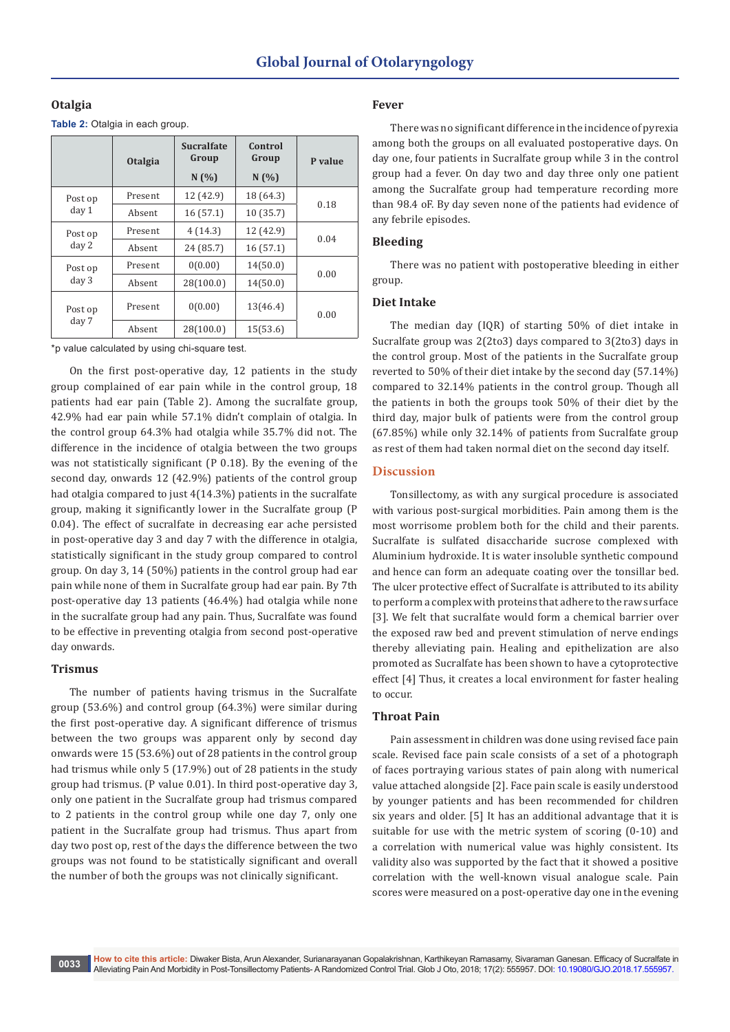# **Otalgia**

**Table 2:** Otalgia in each group.

|         | <b>Otalgia</b> | <b>Sucralfate</b><br>Group | Control<br>Group | P value |
|---------|----------------|----------------------------|------------------|---------|
|         |                | N(%)                       | N(%)             |         |
| Post op | Present        | 12 (42.9)                  | 18 (64.3)        | 0.18    |
| day 1   | Absent         | 16(57.1)                   | 10(35.7)         |         |
| Post op | Present        | 4(14.3)                    | 12 (42.9)        | 0.04    |
| day 2   | Absent         | 24 (85.7)                  | 16(57.1)         |         |
| Post op | Present        | 0(0.00)                    | 14(50.0)         | 0.00    |
| day 3   | Absent         | 28(100.0)                  | 14(50.0)         |         |
| Post op | Present        | 0(0.00)                    | 13(46.4)         | 0.00    |
| day 7   | Absent         | 28(100.0)                  | 15(53.6)         |         |

\*p value calculated by using chi-square test.

On the first post-operative day, 12 patients in the study group complained of ear pain while in the control group, 18 patients had ear pain (Table 2). Among the sucralfate group, 42.9% had ear pain while 57.1% didn't complain of otalgia. In the control group 64.3% had otalgia while 35.7% did not. The difference in the incidence of otalgia between the two groups was not statistically significant (P 0.18). By the evening of the second day, onwards 12 (42.9%) patients of the control group had otalgia compared to just 4(14.3%) patients in the sucralfate group, making it significantly lower in the Sucralfate group (P 0.04). The effect of sucralfate in decreasing ear ache persisted in post-operative day 3 and day 7 with the difference in otalgia, statistically significant in the study group compared to control group. On day 3, 14 (50%) patients in the control group had ear pain while none of them in Sucralfate group had ear pain. By 7th post-operative day 13 patients (46.4%) had otalgia while none in the sucralfate group had any pain. Thus, Sucralfate was found to be effective in preventing otalgia from second post-operative day onwards.

# **Trismus**

The number of patients having trismus in the Sucralfate group (53.6%) and control group (64.3%) were similar during the first post-operative day. A significant difference of trismus between the two groups was apparent only by second day onwards were 15 (53.6%) out of 28 patients in the control group had trismus while only 5 (17.9%) out of 28 patients in the study group had trismus. (P value 0.01). In third post-operative day 3, only one patient in the Sucralfate group had trismus compared to 2 patients in the control group while one day 7, only one patient in the Sucralfate group had trismus. Thus apart from day two post op, rest of the days the difference between the two groups was not found to be statistically significant and overall the number of both the groups was not clinically significant.

# **Fever**

There was no significant difference in the incidence of pyrexia among both the groups on all evaluated postoperative days. On day one, four patients in Sucralfate group while 3 in the control group had a fever. On day two and day three only one patient among the Sucralfate group had temperature recording more than 98.4 oF. By day seven none of the patients had evidence of any febrile episodes.

# **Bleeding**

There was no patient with postoperative bleeding in either group.

## **Diet Intake**

The median day (IQR) of starting 50% of diet intake in Sucralfate group was 2(2to3) days compared to 3(2to3) days in the control group. Most of the patients in the Sucralfate group reverted to 50% of their diet intake by the second day (57.14%) compared to 32.14% patients in the control group. Though all the patients in both the groups took 50% of their diet by the third day, major bulk of patients were from the control group (67.85%) while only 32.14% of patients from Sucralfate group as rest of them had taken normal diet on the second day itself.

## **Discussion**

Tonsillectomy, as with any surgical procedure is associated with various post-surgical morbidities. Pain among them is the most worrisome problem both for the child and their parents. Sucralfate is sulfated disaccharide sucrose complexed with Aluminium hydroxide. It is water insoluble synthetic compound and hence can form an adequate coating over the tonsillar bed. The ulcer protective effect of Sucralfate is attributed to its ability to perform a complex with proteins that adhere to the raw surface [3]. We felt that sucralfate would form a chemical barrier over the exposed raw bed and prevent stimulation of nerve endings thereby alleviating pain. Healing and epithelization are also promoted as Sucralfate has been shown to have a cytoprotective effect [4] Thus, it creates a local environment for faster healing to occur.

# **Throat Pain**

Pain assessment in children was done using revised face pain scale. Revised face pain scale consists of a set of a photograph of faces portraying various states of pain along with numerical value attached alongside [2]. Face pain scale is easily understood by younger patients and has been recommended for children six years and older. [5] It has an additional advantage that it is suitable for use with the metric system of scoring (0-10) and a correlation with numerical value was highly consistent. Its validity also was supported by the fact that it showed a positive correlation with the well-known visual analogue scale. Pain scores were measured on a post-operative day one in the evening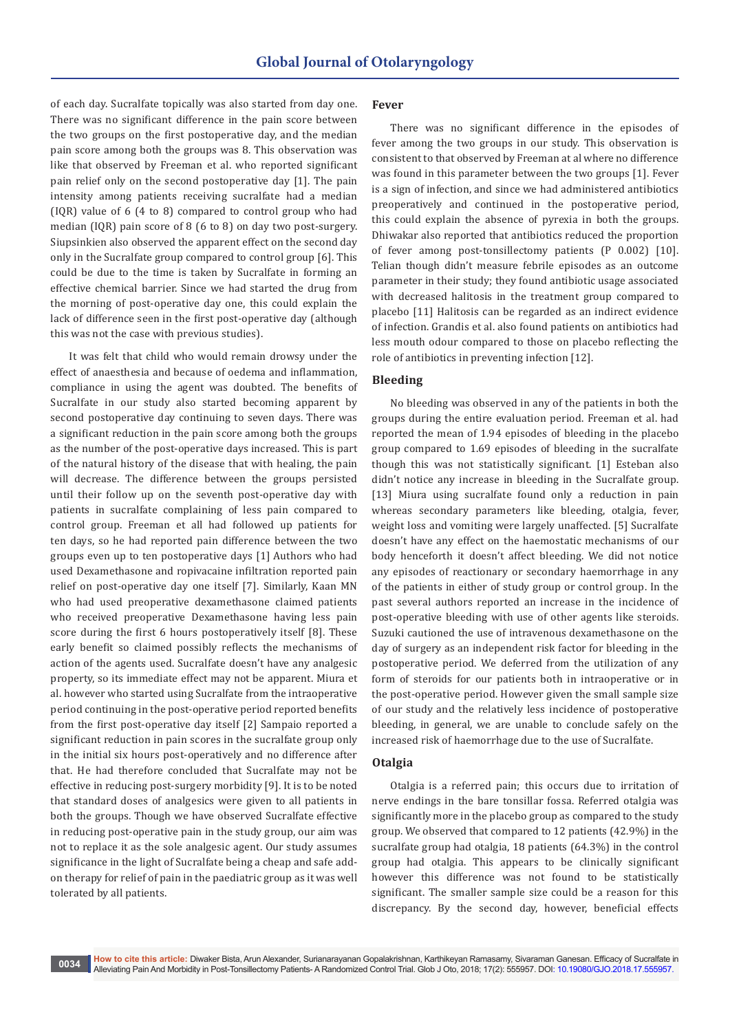of each day. Sucralfate topically was also started from day one. There was no significant difference in the pain score between the two groups on the first postoperative day, and the median pain score among both the groups was 8. This observation was like that observed by Freeman et al. who reported significant pain relief only on the second postoperative day [1]. The pain intensity among patients receiving sucralfate had a median (IQR) value of 6 (4 to 8) compared to control group who had median (IQR) pain score of 8 (6 to 8) on day two post-surgery. Siupsinkien also observed the apparent effect on the second day only in the Sucralfate group compared to control group [6]. This could be due to the time is taken by Sucralfate in forming an effective chemical barrier. Since we had started the drug from the morning of post-operative day one, this could explain the lack of difference seen in the first post-operative day (although this was not the case with previous studies).

It was felt that child who would remain drowsy under the effect of anaesthesia and because of oedema and inflammation, compliance in using the agent was doubted. The benefits of Sucralfate in our study also started becoming apparent by second postoperative day continuing to seven days. There was a significant reduction in the pain score among both the groups as the number of the post-operative days increased. This is part of the natural history of the disease that with healing, the pain will decrease. The difference between the groups persisted until their follow up on the seventh post-operative day with patients in sucralfate complaining of less pain compared to control group. Freeman et all had followed up patients for ten days, so he had reported pain difference between the two groups even up to ten postoperative days [1] Authors who had used Dexamethasone and ropivacaine infiltration reported pain relief on post-operative day one itself [7]. Similarly, Kaan MN who had used preoperative dexamethasone claimed patients who received preoperative Dexamethasone having less pain score during the first 6 hours postoperatively itself [8]. These early benefit so claimed possibly reflects the mechanisms of action of the agents used. Sucralfate doesn't have any analgesic property, so its immediate effect may not be apparent. Miura et al. however who started using Sucralfate from the intraoperative period continuing in the post-operative period reported benefits from the first post-operative day itself [2] Sampaio reported a significant reduction in pain scores in the sucralfate group only in the initial six hours post-operatively and no difference after that. He had therefore concluded that Sucralfate may not be effective in reducing post-surgery morbidity [9]. It is to be noted that standard doses of analgesics were given to all patients in both the groups. Though we have observed Sucralfate effective in reducing post-operative pain in the study group, our aim was not to replace it as the sole analgesic agent. Our study assumes significance in the light of Sucralfate being a cheap and safe addon therapy for relief of pain in the paediatric group as it was well tolerated by all patients.

## **Fever**

There was no significant difference in the episodes of fever among the two groups in our study. This observation is consistent to that observed by Freeman at al where no difference was found in this parameter between the two groups [1]. Fever is a sign of infection, and since we had administered antibiotics preoperatively and continued in the postoperative period, this could explain the absence of pyrexia in both the groups. Dhiwakar also reported that antibiotics reduced the proportion of fever among post-tonsillectomy patients (P 0.002) [10]. Telian though didn't measure febrile episodes as an outcome parameter in their study; they found antibiotic usage associated with decreased halitosis in the treatment group compared to placebo [11] Halitosis can be regarded as an indirect evidence of infection. Grandis et al. also found patients on antibiotics had less mouth odour compared to those on placebo reflecting the role of antibiotics in preventing infection [12].

## **Bleeding**

No bleeding was observed in any of the patients in both the groups during the entire evaluation period. Freeman et al. had reported the mean of 1.94 episodes of bleeding in the placebo group compared to 1.69 episodes of bleeding in the sucralfate though this was not statistically significant. [1] Esteban also didn't notice any increase in bleeding in the Sucralfate group. [13] Miura using sucralfate found only a reduction in pain whereas secondary parameters like bleeding, otalgia, fever, weight loss and vomiting were largely unaffected. [5] Sucralfate doesn't have any effect on the haemostatic mechanisms of our body henceforth it doesn't affect bleeding. We did not notice any episodes of reactionary or secondary haemorrhage in any of the patients in either of study group or control group. In the past several authors reported an increase in the incidence of post-operative bleeding with use of other agents like steroids. Suzuki cautioned the use of intravenous dexamethasone on the day of surgery as an independent risk factor for bleeding in the postoperative period. We deferred from the utilization of any form of steroids for our patients both in intraoperative or in the post-operative period. However given the small sample size of our study and the relatively less incidence of postoperative bleeding, in general, we are unable to conclude safely on the increased risk of haemorrhage due to the use of Sucralfate.

#### **Otalgia**

Otalgia is a referred pain; this occurs due to irritation of nerve endings in the bare tonsillar fossa. Referred otalgia was significantly more in the placebo group as compared to the study group. We observed that compared to 12 patients (42.9%) in the sucralfate group had otalgia, 18 patients (64.3%) in the control group had otalgia. This appears to be clinically significant however this difference was not found to be statistically significant. The smaller sample size could be a reason for this discrepancy. By the second day, however, beneficial effects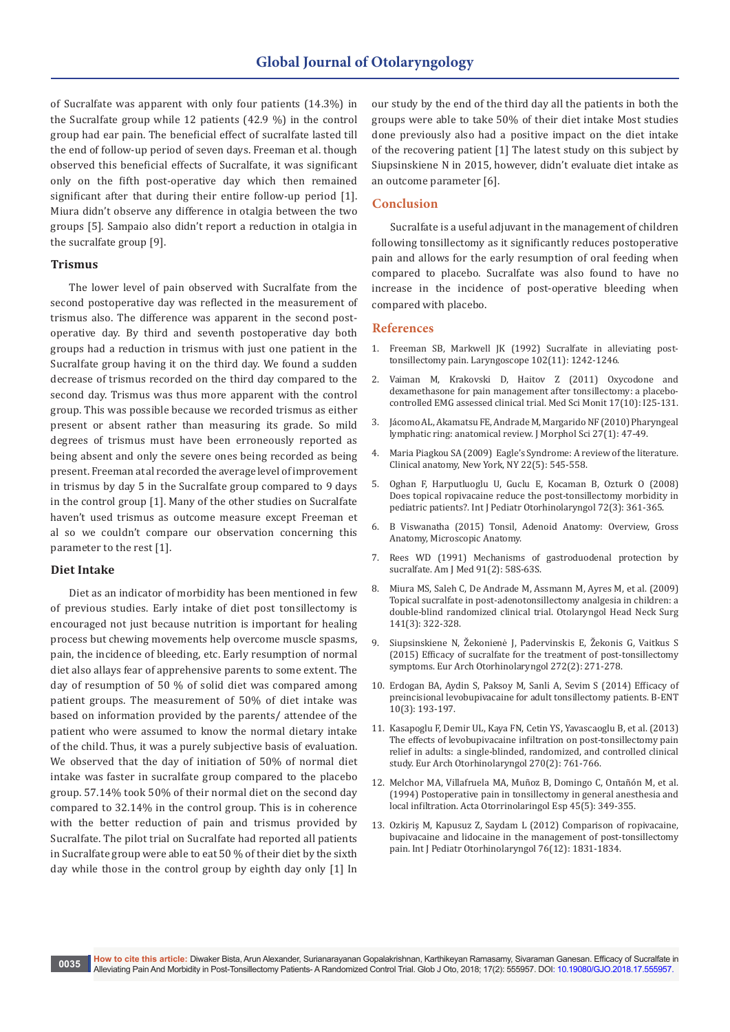of Sucralfate was apparent with only four patients (14.3%) in the Sucralfate group while 12 patients (42.9 %) in the control group had ear pain. The beneficial effect of sucralfate lasted till the end of follow-up period of seven days. Freeman et al. though observed this beneficial effects of Sucralfate, it was significant only on the fifth post-operative day which then remained significant after that during their entire follow-up period [1]. Miura didn't observe any difference in otalgia between the two groups [5]. Sampaio also didn't report a reduction in otalgia in the sucralfate group [9].

## **Trismus**

The lower level of pain observed with Sucralfate from the second postoperative day was reflected in the measurement of trismus also. The difference was apparent in the second postoperative day. By third and seventh postoperative day both groups had a reduction in trismus with just one patient in the Sucralfate group having it on the third day. We found a sudden decrease of trismus recorded on the third day compared to the second day. Trismus was thus more apparent with the control group. This was possible because we recorded trismus as either present or absent rather than measuring its grade. So mild degrees of trismus must have been erroneously reported as being absent and only the severe ones being recorded as being present. Freeman at al recorded the average level of improvement in trismus by day 5 in the Sucralfate group compared to 9 days in the control group [1]. Many of the other studies on Sucralfate haven't used trismus as outcome measure except Freeman et al so we couldn't compare our observation concerning this parameter to the rest [1].

#### **Diet Intake**

Diet as an indicator of morbidity has been mentioned in few of previous studies. Early intake of diet post tonsillectomy is encouraged not just because nutrition is important for healing process but chewing movements help overcome muscle spasms, pain, the incidence of bleeding, etc. Early resumption of normal diet also allays fear of apprehensive parents to some extent. The day of resumption of 50 % of solid diet was compared among patient groups. The measurement of 50% of diet intake was based on information provided by the parents/ attendee of the patient who were assumed to know the normal dietary intake of the child. Thus, it was a purely subjective basis of evaluation. We observed that the day of initiation of 50% of normal diet intake was faster in sucralfate group compared to the placebo group. 57.14% took 50% of their normal diet on the second day compared to 32.14% in the control group. This is in coherence with the better reduction of pain and trismus provided by Sucralfate. The pilot trial on Sucralfate had reported all patients in Sucralfate group were able to eat 50 % of their diet by the sixth day while those in the control group by eighth day only [1] In

our study by the end of the third day all the patients in both the groups were able to take 50% of their diet intake Most studies done previously also had a positive impact on the diet intake of the recovering patient [1] The latest study on this subject by Siupsinskiene N in 2015, however, didn't evaluate diet intake as an outcome parameter [6].

#### **Conclusion**

Sucralfate is a useful adjuvant in the management of children following tonsillectomy as it significantly reduces postoperative pain and allows for the early resumption of oral feeding when compared to placebo. Sucralfate was also found to have no increase in the incidence of post-operative bleeding when compared with placebo.

#### **References**

- 1. [Freeman SB, Markwell JK \(1992\) Sucralfate in alleviating post](https://www.ncbi.nlm.nih.gov/pubmed/1405984)[tonsillectomy pain. Laryngoscope 102\(11\): 1242-1246.](https://www.ncbi.nlm.nih.gov/pubmed/1405984)
- 2. [Vaiman M, Krakovski D, Haitov Z \(2011\) Oxycodone and](https://www.ncbi.nlm.nih.gov/pubmed/21959624)  [dexamethasone for pain management after tonsillectomy: a placebo](https://www.ncbi.nlm.nih.gov/pubmed/21959624)[controlled EMG assessed clinical trial. Med Sci Monit 17\(10\): I25-131.](https://www.ncbi.nlm.nih.gov/pubmed/21959624)
- 3. [Jácomo AL, Akamatsu FE, Andrade M, Margarido NF \(2010\) Pharyngeal](http://jms.org.br/PDF/v27n1a13.pdf)  [lymphatic ring: anatomical review. J Morphol Sci 27\(1\): 47-49.](http://jms.org.br/PDF/v27n1a13.pdf)
- 4. [Maria Piagkou SA \(2009\) Eagle's Syndrome: A review of the literature.](https://onlinelibrary.wiley.com/doi/abs/10.1002/ca.20804)  [Clinical anatomy, New York, NY 22\(5\): 545-558.](https://onlinelibrary.wiley.com/doi/abs/10.1002/ca.20804)
- 5. [Oghan F, Harputluoglu U, Guclu E, Kocaman B, Ozturk O \(2008\)](https://www.ncbi.nlm.nih.gov/pubmed/18179827)  [Does topical ropivacaine reduce the post-tonsillectomy morbidity in](https://www.ncbi.nlm.nih.gov/pubmed/18179827)  [pediatric patients?. Int J Pediatr Otorhinolaryngol 72\(3\): 361-365.](https://www.ncbi.nlm.nih.gov/pubmed/18179827)
- 6. [B Viswanatha \(2015\) Tonsil, Adenoid Anatomy: Overview, Gross](https://emedicine.medscape.com/article/1899367-overview)  [Anatomy, Microscopic Anatomy.](https://emedicine.medscape.com/article/1899367-overview)
- 7. [Rees WD \(1991\) Mechanisms of gastroduodenal protection by](https://www.amjmed.com/article/0002-9343(91)90452-4/pdf)  [sucralfate. Am J Med 91\(2\): 58S-63S.](https://www.amjmed.com/article/0002-9343(91)90452-4/pdf)
- 8. [Miura MS, Saleh C, De Andrade M, Assmann M, Ayres M, et al. \(2009\)](https://www.ncbi.nlm.nih.gov/pubmed/19716007)  [Topical sucralfate in post-adenotonsillectomy analgesia in children: a](https://www.ncbi.nlm.nih.gov/pubmed/19716007)  [double-blind randomized clinical trial. Otolaryngol Head Neck Surg](https://www.ncbi.nlm.nih.gov/pubmed/19716007)  [141\(3\): 322-328.](https://www.ncbi.nlm.nih.gov/pubmed/19716007)
- 9. [Siupsinskiene N, Žekonienė J, Padervinskis E, Žekonis G, Vaitkus S](https://www.ncbi.nlm.nih.gov/pubmed/24691853)  [\(2015\) Efficacy of sucralfate for the treatment of post-tonsillectomy](https://www.ncbi.nlm.nih.gov/pubmed/24691853)  [symptoms. Eur Arch Otorhinolaryngol 272\(2\): 271-278.](https://www.ncbi.nlm.nih.gov/pubmed/24691853)
- 10. [Erdogan BA, Aydin S, Paksoy M, Sanli A, Sevim S \(2014\) Efficacy of](https://www.ncbi.nlm.nih.gov/pubmed/25675664)  [preincisional levobupivacaine for adult tonsillectomy patients. B-ENT](https://www.ncbi.nlm.nih.gov/pubmed/25675664)  [10\(3\): 193-197.](https://www.ncbi.nlm.nih.gov/pubmed/25675664)
- 11. [Kasapoglu F, Demir UL, Kaya FN, Cetin YS, Yavascaoglu B, et al. \(2013\)](https://www.ncbi.nlm.nih.gov/pubmed/23053376)  [The effects of levobupivacaine infiltration on post-tonsillectomy pain](https://www.ncbi.nlm.nih.gov/pubmed/23053376)  [relief in adults: a single-blinded, randomized, and controlled clinical](https://www.ncbi.nlm.nih.gov/pubmed/23053376)  [study. Eur Arch Otorhinolaryngol 270\(2\): 761-766.](https://www.ncbi.nlm.nih.gov/pubmed/23053376)
- 12. [Melchor MA, Villafruela MA, Muñoz B, Domingo C, Ontañón M, et al.](https://www.ncbi.nlm.nih.gov/pubmed/7811509)  [\(1994\) Postoperative pain in tonsillectomy in general anesthesia and](https://www.ncbi.nlm.nih.gov/pubmed/7811509)  [local infiltration. Acta Otorrinolaringol Esp 45\(5\): 349-355.](https://www.ncbi.nlm.nih.gov/pubmed/7811509)
- 13. [Ozkiriş M, Kapusuz Z, Saydam L \(2012\) Comparison of ropivacaine,](https://www.ncbi.nlm.nih.gov/pubmed/23021528)  [bupivacaine and lidocaine in the management of post-tonsillectomy](https://www.ncbi.nlm.nih.gov/pubmed/23021528)  [pain. Int J Pediatr Otorhinolaryngol 76\(12\): 1831-1834.](https://www.ncbi.nlm.nih.gov/pubmed/23021528)